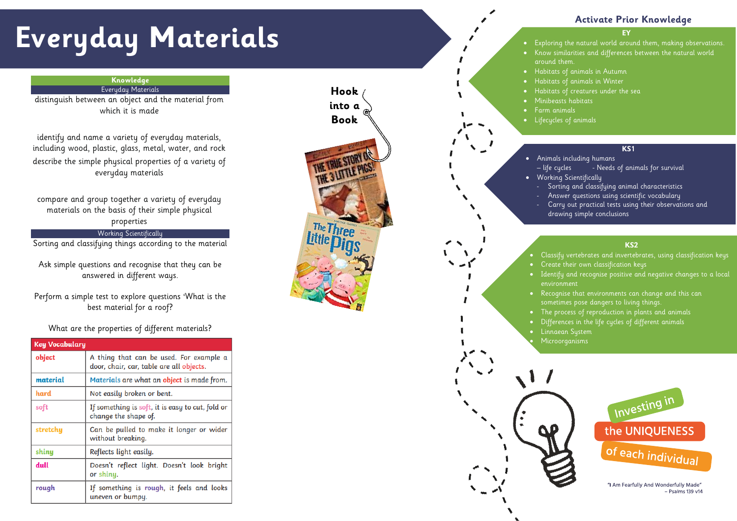# **Everyday Materials**

#### **EY**

- Exploring the natural world around them, making observations. • Know similarities and differences between the natural world
- Habitats of animals in Autumn

around them.

# **Activate Prior Knowledge**

#### **KS1**

- Animals including humans
	- Sorting and classifying animal characteristics
	- drawing simple conclusions
- Habitats of animals in Winter
- Habitats of creatures under the sea
- Minibeasts habitats
- Farm animals • Lifecycles of animals
	-
	- life cycles Needs of animals for survival
- Working Scientifically
	- Answer questions using scientific vocabulary
	- Carry out practical tests using their observations and
	-
- Classify vertebrates and invertebrates, using classification keys • Create their own classification keys
- Identify and recognise positive and negative changes to a local environment
- Recognise that environments can change and this can
- 
- 
- Linnaean System
- Microorganisms



## **KS2**

- 
- sometimes pose dangers to living things.
- The process of reproduction in plants and animals
- Differences in the life cycles of different animals



"I Am Fearfully And Wonderfully Made"  $-$  Psalms 139 v14

## **Knowledge** Everyday Materials

distinguish between an object and the material from which it is made

identify and name a variety of everyday materials, including wood, plastic, glass, metal, water, and rock describe the simple physical properties of a variety of everyday materials

compare and group together a variety of everyday materials on the basis of their simple physical properties

# Working Scientifically

Sorting and classifying things according to the material

Ask simple questions and recognise that they can be answered in different ways.

Perform a simple test to explore questions 'What is the best material for a roof ?

# What are the properties of different materials?

| <b>Key Vocabulary</b> |                                                                                     |
|-----------------------|-------------------------------------------------------------------------------------|
| object                | A thing that can be used. For example a<br>door, chair, car, table are all objects. |
| material              | Materials are what an object is made from.                                          |
| hard                  | Not easily broken or bent.                                                          |
| soft                  | If something is soft, it is easy to cut, fold or<br>change the shape of.            |
| stretchy              | Can be pulled to make it longer or wider<br>without breaking.                       |
| shiny                 | Reflects light easily.                                                              |
| dull                  | Doesn't reflect light. Doesn't look bright<br>or shiny.                             |
| rough                 | If something is rough, it feels and looks<br>uneven or bumpy.                       |